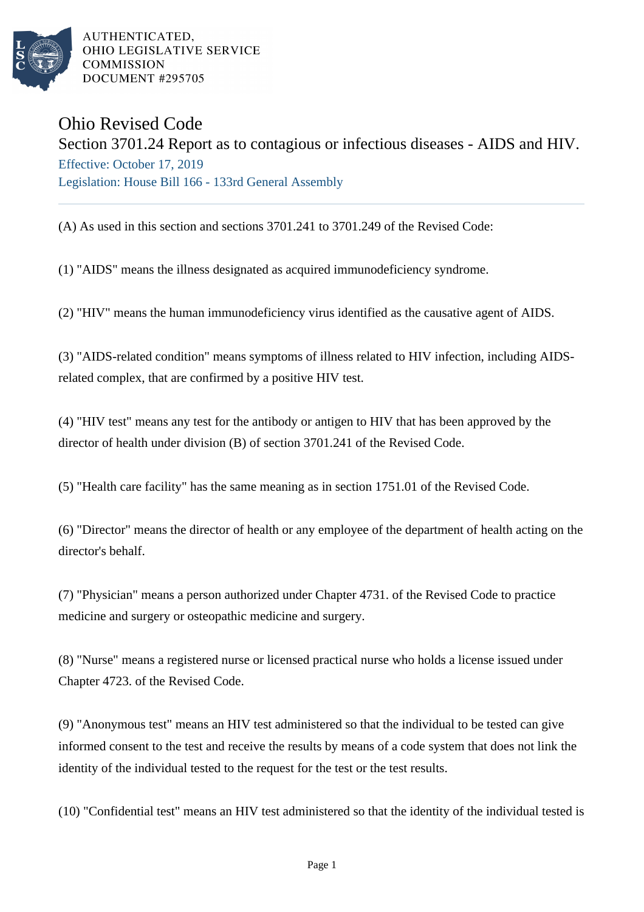

AUTHENTICATED, OHIO LEGISLATIVE SERVICE **COMMISSION** DOCUMENT #295705

## Ohio Revised Code

Section 3701.24 Report as to contagious or infectious diseases - AIDS and HIV. Effective: October 17, 2019 Legislation: House Bill 166 - 133rd General Assembly

(A) As used in this section and sections 3701.241 to 3701.249 of the Revised Code:

(1) "AIDS" means the illness designated as acquired immunodeficiency syndrome.

(2) "HIV" means the human immunodeficiency virus identified as the causative agent of AIDS.

(3) "AIDS-related condition" means symptoms of illness related to HIV infection, including AIDSrelated complex, that are confirmed by a positive HIV test.

(4) "HIV test" means any test for the antibody or antigen to HIV that has been approved by the director of health under division (B) of section 3701.241 of the Revised Code.

(5) "Health care facility" has the same meaning as in section 1751.01 of the Revised Code.

(6) "Director" means the director of health or any employee of the department of health acting on the director's behalf.

(7) "Physician" means a person authorized under Chapter 4731. of the Revised Code to practice medicine and surgery or osteopathic medicine and surgery.

(8) "Nurse" means a registered nurse or licensed practical nurse who holds a license issued under Chapter 4723. of the Revised Code.

(9) "Anonymous test" means an HIV test administered so that the individual to be tested can give informed consent to the test and receive the results by means of a code system that does not link the identity of the individual tested to the request for the test or the test results.

(10) "Confidential test" means an HIV test administered so that the identity of the individual tested is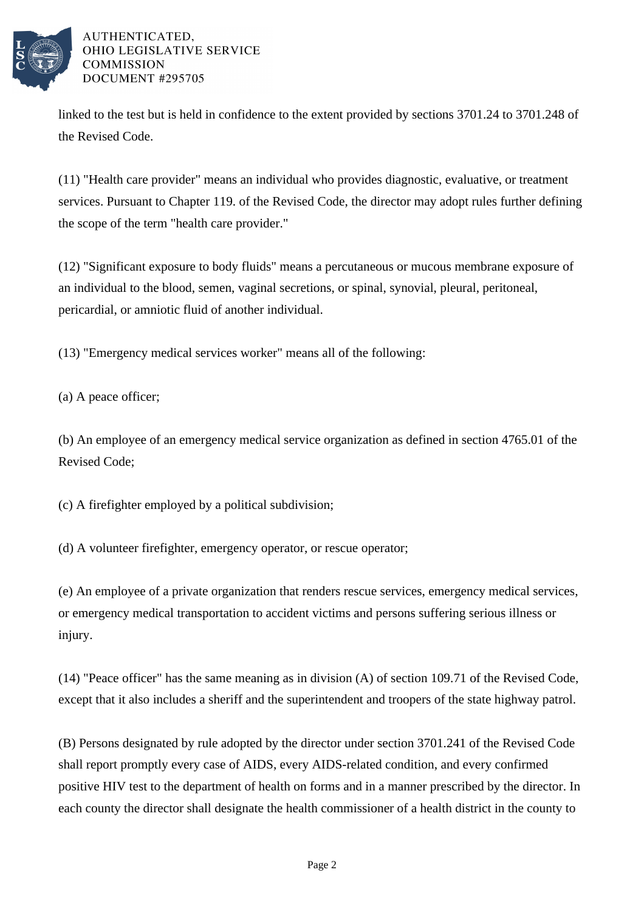

## AUTHENTICATED. OHIO LEGISLATIVE SERVICE **COMMISSION** DOCUMENT #295705

linked to the test but is held in confidence to the extent provided by sections 3701.24 to 3701.248 of the Revised Code.

(11) "Health care provider" means an individual who provides diagnostic, evaluative, or treatment services. Pursuant to Chapter 119. of the Revised Code, the director may adopt rules further defining the scope of the term "health care provider."

(12) "Significant exposure to body fluids" means a percutaneous or mucous membrane exposure of an individual to the blood, semen, vaginal secretions, or spinal, synovial, pleural, peritoneal, pericardial, or amniotic fluid of another individual.

(13) "Emergency medical services worker" means all of the following:

(a) A peace officer;

(b) An employee of an emergency medical service organization as defined in section 4765.01 of the Revised Code;

(c) A firefighter employed by a political subdivision;

(d) A volunteer firefighter, emergency operator, or rescue operator;

(e) An employee of a private organization that renders rescue services, emergency medical services, or emergency medical transportation to accident victims and persons suffering serious illness or injury.

(14) "Peace officer" has the same meaning as in division (A) of section 109.71 of the Revised Code, except that it also includes a sheriff and the superintendent and troopers of the state highway patrol.

(B) Persons designated by rule adopted by the director under section 3701.241 of the Revised Code shall report promptly every case of AIDS, every AIDS-related condition, and every confirmed positive HIV test to the department of health on forms and in a manner prescribed by the director. In each county the director shall designate the health commissioner of a health district in the county to